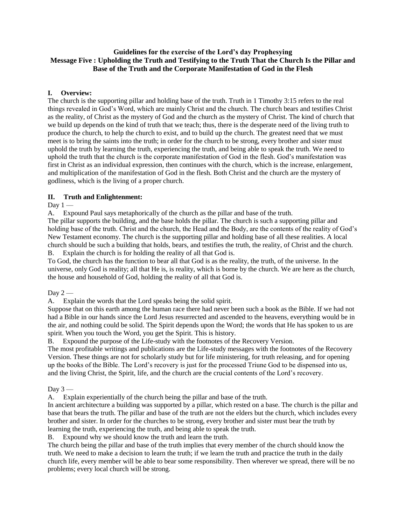#### **Guidelines for the exercise of the Lord's day Prophesying Message Five : Upholding the Truth and Testifying to the Truth That the Church Is the Pillar and Base of the Truth and the Corporate Manifestation of God in the Flesh**

## **I. Overview:**

The church is the supporting pillar and holding base of the truth. Truth in 1 Timothy 3:15 refers to the real things revealed in God's Word, which are mainly Christ and the church. The church bears and testifies Christ as the reality, of Christ as the mystery of God and the church as the mystery of Christ. The kind of church that we build up depends on the kind of truth that we teach; thus, there is the desperate need of the living truth to produce the church, to help the church to exist, and to build up the church. The greatest need that we must meet is to bring the saints into the truth; in order for the church to be strong, every brother and sister must uphold the truth by learning the truth, experiencing the truth, and being able to speak the truth. We need to uphold the truth that the church is the corporate manifestation of God in the flesh. God's manifestation was first in Christ as an individual expression, then continues with the church, which is the increase, enlargement, and multiplication of the manifestation of God in the flesh. Both Christ and the church are the mystery of godliness, which is the living of a proper church.

# **II. Truth and Enlightenment:**

### Day  $1 -$

A. Expound Paul says metaphorically of the church as the pillar and base of the truth.

The pillar supports the building, and the base holds the pillar. The church is such a supporting pillar and holding base of the truth. Christ and the church, the Head and the Body, are the contents of the reality of God's New Testament economy. The church is the supporting pillar and holding base of all these realities. A local church should be such a building that holds, bears, and testifies the truth, the reality, of Christ and the church. B. Explain the church is for holding the reality of all that God is.

To God, the church has the function to bear all that God is as the reality, the truth, of the universe. In the universe, only God is reality; all that He is, is reality, which is borne by the church. We are here as the church, the house and household of God, holding the reality of all that God is.

### Day 2 —

A. Explain the words that the Lord speaks being the solid spirit.

Suppose that on this earth among the human race there had never been such a book as the Bible. If we had not had a Bible in our hands since the Lord Jesus resurrected and ascended to the heavens, everything would be in the air, and nothing could be solid. The Spirit depends upon the Word; the words that He has spoken to us are spirit. When you touch the Word, you get the Spirit. This is history.

B. Expound the purpose of the Life-study with the footnotes of the Recovery Version.

The most profitable writings and publications are the Life-study messages with the footnotes of the Recovery Version. These things are not for scholarly study but for life ministering, for truth releasing, and for opening up the books of the Bible. The Lord's recovery is just for the processed Triune God to be dispensed into us, and the living Christ, the Spirit, life, and the church are the crucial contents of the Lord's recovery.

### Day  $3 -$

A. Explain experientially of the church being the pillar and base of the truth.

In ancient architecture a building was supported by a pillar, which rested on a base. The church is the pillar and base that bears the truth. The pillar and base of the truth are not the elders but the church, which includes every brother and sister. In order for the churches to be strong, every brother and sister must bear the truth by learning the truth, experiencing the truth, and being able to speak the truth.

B. Expound why we should know the truth and learn the truth.

The church being the pillar and base of the truth implies that every member of the church should know the truth. We need to make a decision to learn the truth; if we learn the truth and practice the truth in the daily church life, every member will be able to bear some responsibility. Then wherever we spread, there will be no problems; every local church will be strong.